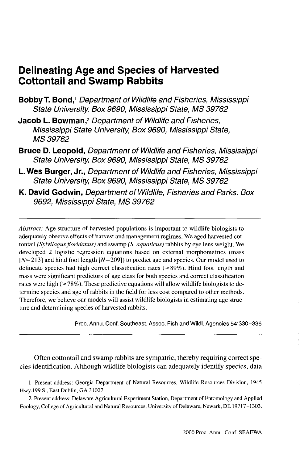# **Delineating Age and Species of Harvested Cottontail and Swamp Rabbits**

- **Bobby T. Bond,**<sup>1</sup> Department of Wildlife and Fisheries, Mississippi State University, Box 9690, Mississippi State, MS 39762
- Jacob L. Bowman,<sup>2</sup> Department of Wildlife and Fisheries, Mississippi State University, Box 9690, Mississippi State, MS 39762
- **Bruce D. Leopold,** Department of Wildlife and Fisheries, Mississippi State University, Box 9690, Mississippi State, MS 39762
- **L.Wes Burger, Jr.,** Department of Wildlife and Fisheries, Mississippi State University, Box 9690, Mississippi State, MS 39762
- **K. David Godwin,** Department of Wildlife, Fisheries and Parks, Box 9692, Mississippi State, MS 39762

*Abstract:* Age structure of harvested populations is important to wildlife biologists to adequately observe effects of harvest and management regimes. We aged harvested cottontail *(Sylvilagus floridanus)* and swamp *(S. aquaticus)* rabbits by eye lens weight. We developed 2 logistic regression equations based on external morphometrics (mass  $[N=213]$  and hind foot length  $[N=209]$ ) to predict age and species. Our model used to delineate species had high correct classification rates (>89%). Hind foot length and mass were significant predictors of age class for both species and correct classification rates were high (>78%). These predictive equations will allow wildlife biologists to determine species and age of rabbits in the field for less cost compared to other methods. Therefore, we believe our models will assist wildlife biologists in estimating age structure and determining species of harvested rabbits.

Proc. Annu. Conf. Southeast. Assoc. Fish and Wildl. Agencies 54:330-336

Often cottontail and swamp rabbits are sympatric, thereby requiring correct species identification. Although wildlife biologists can adequately identify species, data

1. Present address: Georgia Department of Natural Resources, Wildlife Resources Division, 1945 Hwy.199 S., East Dublin, GA 31027.

2. Present address: Delaware Agricultural Experiment Station, Department of Entomology and Applied Ecology, College of Agricultural and Natural Resources, University of Delaware, Newark, DE 19717-1303.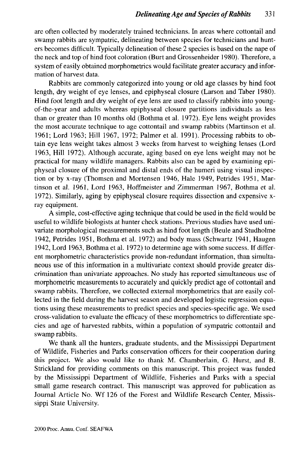are often collected by moderately trained technicians. In areas where cottontail and swamp rabbits are sympatric, delineating between species for technicians and hunters becomes difficult. Typically delineation of these 2 species is based on the nape of the neck and top of hind foot coloration (Burt and Grossenheider 1980). Therefore, a system of easily obtained morphometrics would facilitate greater accuracy and information of harvest data.

Rabbits are commonly categorized into young or old age classes by hind foot length, dry weight of eye lenses, and epiphyseal closure (Larson and Taber 1980). Hind foot length and dry weight of eye lens are used to classify rabbits into youngof-the-year and adults whereas epiphyseal closure partitions individuals as less than or greater than 10 months old (Bothma et al. 1972). Eye lens weight provides the most accurate technique to age cottontail and swamp rabbits (Martinson et al. 1961; Lord 1963; Hill 1967, 1972; Palmer et al. 1991). Processing rabbits to obtain eye lens weight takes almost 3 weeks from harvest to weighing lenses (Lord 1963, Hill 1972). Although accurate, aging based on eye lens weight may not be practical for many wildlife managers. Rabbits also can be aged by examining epiphyseal closure of the proximal and distal ends of the humeri using visual inspection or by x-ray (Thomsen and Mortensen 1946, Hale 1949, Petrides 1951, Martinson et al. 1961, Lord 1963, Hoffmeister and Zimmerman 1967, Bothma et al. 1972). Similarly, aging by epiphyseal closure requires dissection and expensive xray equipment.

A simple, cost-effective aging technique that could be used in the field would be useful to wildlife biologists at hunter check stations. Previous studies have used univariate morphological measurements such as hind foot length (Beule and Studholme 1942, Petrides 1951, Bothma et al. 1972) and body mass (Schwartz 1941, Haugen 1942, Lord 1963, Bothma et al. 1972) to determine age with some success. If different morphometric characteristics provide non-redundant information, than simultaneous use of this information in a multivariate context should provide greater discrimination than univariate approaches. No study has reported simultaneous use of morphometric measurements to accurately and quickly predict age of cottontail and swamp rabbits. Therefore, we collected external morphometrics that are easily collected in the field during the harvest season and developed logistic regression equations using these measurements to predict species and species-specific age. We used cross-validation to evaluate the efficacy of these morphometrics to differentiate species and age of harvested rabbits, within a population of sympatric cottontail and swamp rabbits.

We thank all the hunters, graduate students, and the Mississippi Department of Wildlife, Fisheries and Parks conservation officers for their cooperation during this project. We also would like to thank M. Chamberlain, G. Hurst, and B. Strickland for providing comments on this manuscript. This project was funded by the Mississippi Department of Wildlife, Fisheries and Parks with a special small game research contract. This manuscript was approved for publication as Journal Article No. Wf 126 of the Forest and Wildlife Research Center, Mississippi State University.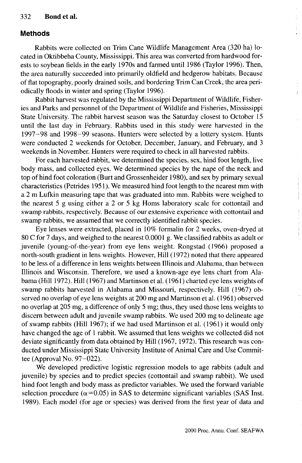#### 332 **Bond et al.**

#### **Methods**

Rabbits were collected on Trim Cane Wildlife Management Area (320 ha) located in Oktibbeha County, Mississippi. This area was converted from hardwood forests to soybean fields in the early 1970s and farmed until 1986 (Taylor 1996). Then, the area naturally succeeded into primarily oldfield and hedgerow habitats. Because of flat topography, poorly drained soils, and bordering Trim Can Creek, the area periodically floods in winter and spring (Taylor 1996).

Rabbit harvest was regulated by the Mississippi Department of Wildlife, Fisheries and Parks and personnel of the Department of Wildlife and Fisheries, Mississippi State University. The rabbit harvest season was the Saturday closest to October 15 until the last day in February. Rabbits used in this study were harvested in the 1997-98 and 1998-99 seasons. Hunters were selected by a lottery system. Hunts were conducted 2 weekends for October, December, January, and February, and 3 weekends in November. Hunters were required to check in all harvested rabbits.

For each harvested rabbit, we determined the species, sex, hind foot length, live body mass, and collected eyes. We determined species by the nape of the neck and top of hind foot coloration (Burt and Grossenheider 1980), and sex by primary sexual characteristics (Petrides 1951). We measured hind foot length to the nearest mm with a 2 m Lufkin measuring tape that was graduated into mm. Rabbits were weighed to the nearest 5 g using either a 2 or 5 kg Horns laboratory scale for cottontail and swamp rabbits, respectively. Because of our extensive experience with cottontail and swamp rabbits, we assumed that we correctly identified rabbit species.

Eye lenses were extracted, placed in 10% formalin for 2 weeks, oven-dryed at 80 C for 7 days, and weighed to the nearest 0.0001 g. We classified rabbits as adult or juvenile (young-of-the-year) from eye lens weight. Rongstad (1966) proposed a north-south gradient in lens weights. However, Hill (1972) noted that there appeared to be less of a difference in lens weights between Illinois and Alabama, than between Illinois and Wisconsin. Therefore, we used a known-age eye lens chart from Alabama (Hill 1972). Hill (1967) and Martinson et al. (1961) charted eye lens weights of swamp rabbits harvested in Alabama and Missouri, respectively. Hill (1967) observed no overlap of eye lens weights at 200 mg and Martinson et al. (1961) observed no overlap at 205 mg, a difference of only 5 mg; thus, they used those lens weights to discern between adult and juvenile swamp rabbits. We used 200 mg to delineate age of swamp rabbits (Hill 1967); if we had used Martinson et al. (1961) it would only have changed the age of 1 rabbit. We assumed that lens weights we collected did not deviate significantly from data obtained by Hill (1967, 1972). This research was conducted under Mississippi State University Institute of Animal Care and Use Committee (Approval No. 97-022).

We developed predictive logistic regression models to age rabbits (adult and juvenile) by species and to predict species (cottontail and swamp rabbit). We used hind foot length and body mass as predictor variables. We used the forward variable selection procedure ( $\alpha$ =0.05) in SAS to determine significant variables (SAS Inst. 1989). Each model (for age or species) was derived from the first year of data and ï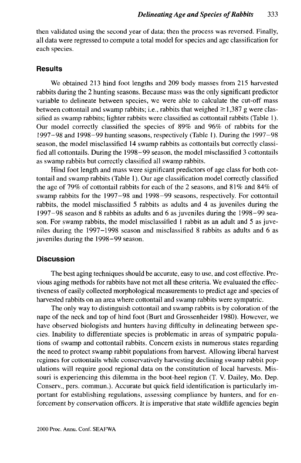then validated using the second year of data; then the process was reversed. Finally, all data were regressed to compute a total model for species and age classification for each species.

## **Results**

We obtained 213 hind foot lengths and 209 body masses from 215 harvested rabbits during the 2 hunting seasons. Because mass was the only significant predictor variable to delineate between species, we were able to calculate the cut-off mass between cottontail and swamp rabbits; i.e., rabbits that weighed  $\geq 1,387$  g were classified as swamp rabbits; lighter rabbits were classified as cottontail rabbits (Table 1). Our model correctly classified the species of 89% and 96% of rabbits for the 1997-98 and 1998-99 hunting seasons, respectively (Table 1). During the 1997-98 season, the model misclassified 14 swamp rabbits as cottontails but correctly classified all cottontails. During the 1998-99 season, the model misclassified 3 cottontails as swamp rabbits but correctly classified all swamp rabbits.

Hind foot length and mass were significant predictors of age class for both cottontail and swamp rabbits (Table 1). Our age classification model correctly classified the age of 79% of cottontail rabbits for each of the 2 seasons, and 81% and 84% of swamp rabbits for the 1997-98 and 1998-99 seasons, respectively. For cottontail rabbits, the model misclassified 5 rabbits as adults and 4 as juveniles during the 1997-98 season and 8 rabbits as adults and 6 as juveniles during the 1998-99 season. For swamp rabbits, the model misclassified 1 rabbit as an adult and 5 as juveniles during the 1997-1998 season and misclassified 8 rabbits as adults and 6 as juveniles during the 1998-99 season.

## **Discussion**

The best aging techniques should be accurate, easy to use, and cost effective. Previous aging methods for rabbits have not met all these criteria. We evaluated the effectiveness of easily collected morphological measurements to predict age and species of harvested rabbits on an area where cottontail and swamp rabbits were sympatric.

The only way to distinguish cottontail and swamp rabbits is by coloration of the nape of the neck and top of hind foot (Burt and Grossenheider 1980). However, we have observed biologists and hunters having difficulty in delineating between species. Inability to differentiate species is problematic in areas of sympatric populations of swamp and cottontail rabbits. Concern exists in numerous states regarding the need to protect swamp rabbit populations from harvest. Allowing liberal harvest regimes for cottontails while conservatively harvesting declining swamp rabbit populations will require good regional data on the constitution of local harvests. Missouri is experiencing this dilemma in the boot-heel region (T. V. Dailey, Mo. Dep. Conserv., pers. commun.). Accurate but quick field identification is particularly important for establishing regulations, assessing compliance by hunters, and for enforcement by conservation officers. It is imperative that state wildlife agencies begin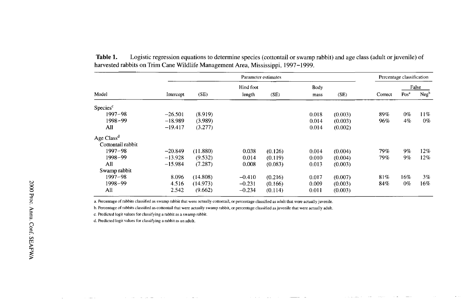| Model                  | Parameter estimates |          |           |         |       |         | Percentage classification |                  |                  |
|------------------------|---------------------|----------|-----------|---------|-------|---------|---------------------------|------------------|------------------|
|                        |                     |          | Hind foot |         | Body  |         |                           | False            |                  |
|                        | Intercept           | (SE)     | length    | (SE)    | mass  | (SE)    | Correct                   | Pos <sup>a</sup> | Neg <sub>b</sub> |
| Species <sup>c</sup>   |                     |          |           |         |       |         |                           |                  |                  |
| $1997 - 98$            | $-26.501$           | (8.919)  |           |         | 0.018 | (0.003) | 89%                       | $0\%$            | 11%              |
| 1998-99                | $-18.989$           | (3.989)  |           |         | 0.014 | (0.003) | 96%                       | 4%               | $0\%$            |
| All                    | $-19.417$           | (3.277)  |           |         | 0.014 | (0.002) |                           |                  |                  |
| Age Class <sup>d</sup> |                     |          |           |         |       |         |                           |                  |                  |
| Cottontail rabbit      |                     |          |           |         |       |         |                           |                  |                  |
| 1997–98                | $-20.849$           | (11.880) | 0.038     | (0.126) | 0.014 | (0.004) | 79%                       | $9\%$            | 12%              |
| 1998-99                | $-13.928$           | (9.532)  | 0.014     | (0.119) | 0.010 | (0.004) | 79%                       | 9%               | 12%              |
| All                    | $-15.984$           | (7.287)  | 0.008     | (0.083) | 0.013 | (0.003) |                           |                  |                  |
| Swamp rabbit           |                     |          |           |         |       |         |                           |                  |                  |
| $1997 - 98$            | 8.096               | (14.808) | $-0.410$  | (0.216) | 0.017 | (0.007) | 81%                       | 16%              | 3%               |
| 1998-99                | 4.516               | (14.973) | $-0.231$  | (0.166) | 0.009 | (0.003) | 84%                       | $0\%$            | 16%              |
| All                    | 2.542               | (9.662)  | $-0.234$  | (0.114) | 0.011 | (0.003) |                           |                  |                  |

**Table 1.** Logistic regression equations to determine species (cottontail or swamp rabbit) and age class (adult or juvenile) of harvested rabbits on Trim Cane Wildlife Management Area, Mississippi, 1997-1999.

a. Percentage of rabbits classified as swamp rabbit that were actually cottontail, or percentage classified as adult that were actually juvenile.

b. Percentage of rabbits classified as cottontail that were actually swamp rabbit, or percentage classified as juvenile that were actually adult.

c. Predicted logit values for classifying a rabbit as a swamp rabbit.

d. Predicted logit values for classifying a rabbit as an adult.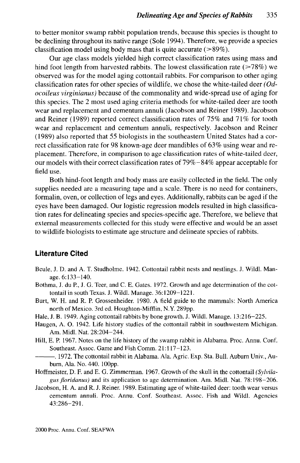to better monitor swamp rabbit population trends, because this species is thought to be declining throughout its native range (Sole 1994). Therefore, we provide a species classification model using body mass that is quite accurate  $(>\!\!89\%)$ .

Our age class models yielded high correct classification rates using mass and hind foot length from harvested rabbits. The lowest classification rate  $(>=78\%)$  we observed was for the model aging cottontail rabbits. For comparison to other aging classification rates for other species of wildlife, we chose the white-tailed deer *(Odocoileus virginianus)* because of the commonality and wide-spread use of aging for this species. The 2 most used aging criteria methods for white-tailed deer are tooth wear and replacement and cementum annuli (Jacobson and Reiner 1989). Jacobson and Reiner (1989) reported correct classification rates of 75% and 71% for tooth wear and replacement and cementum annuli, respectively. Jacobson and Reiner (1989) also reported that 55 biologists in the southeastern United States had a correct classification rate for 98 known-age deer mandibles of 63% using wear and replacement. Therefore, in comparison to age classification rates of white-tailed deer, our models with their correct classification rates of 79% -84% appear acceptable for field use.

Both hind-foot length and body mass are easily collected in the field. The only supplies needed are a measuring tape and a scale. There is no need for containers, formalin, oven, or collection of legs and eyes. Additionally, rabbits can be aged if the eyes have been damaged. Our logistic regression models resulted in high classification rates for delineating species and species-specific age. Therefore, we believe that external measurements collected for this study were effective and would be an asset to wildlife biologists to estimate age structure and delineate species of rabbits.

## **Literature Cited**

- Beule, J. D. and A. T. Studholme. 1942. Cottontail rabbit nests and nestlings. J. Wildl. Manage. 6:133-140.
- Bothma, J. du P., J. G. Teer, and C. E. Gates. 1972. Growth and age determination of the cottontail in south Texas. J. Wildl. Manage. 36:1209-1221.
- Burt, W. H. and R. P. Grossenheider. 1980. A field guide to the mammals: North America north of Mexico. 3rd ed. Houghton-Mifflin, N.Y. 289pp.
- Hale, J. B. 1949. Aging cottontail rabbits by bone growth. J. Wildl. Manage. 13:216-225.
- Haugen, A. O. 1942. Life history studies of the cottontail rabbit in southwestern Michigan. Am. Midi. Nat. 28:204-244.
- Hill, E. P. 1967. Notes on the life history of the swamp rabbit in Alabama. Proc. Annu. Conf. Southeast. Assoc. Game and Fish Comm. 21:117-123.
- . 1972. The cottontail rabbit in Alabama. Ala. Agric. Exp. Sta. Bull. Auburn Univ., Auburn, Ala. No. 440. 100pp.
- Hoffmeister, D. F. and E. G. Zimmerman. 1967. Growth of the skull in the cottontail *(Sylvilagus floridanus)* and its application to age determination. Am. Midi. Nat. 78:198-206.
- Jacobson, H. A. and R. J. Reiner. 1989. Estimating age of white-tailed deer: tooth wear versus cementum annuli. Proc. Annu. Conf. Southeast. Assoc. Fish and Wildl. Agencies 43:286-291.